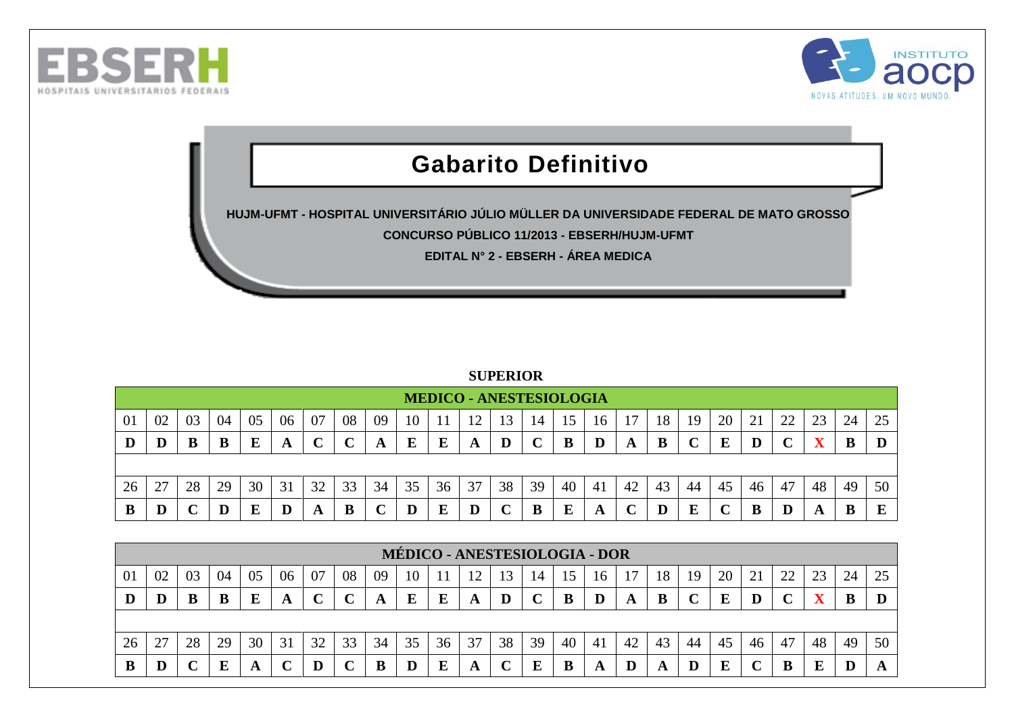



## **Gabarito Definitivo**

**HUJM-UFMT - HOSPITAL UNIVERSITÁRIO JÚLIO MÜLLER DA UNIVERSIDADE FEDERAL DE MATO GROSSO**

**CONCURSO PÚBLICO 11/2013 - EBSERH/HUJM-UFMT**

**EDITAL N° 2 - EBSERH - ÁREA MEDICA**

## **SUPERIOR**

|    |    |    |    |    |    |    |    |    |    |    | <b>MEDICO - ANESTESIOLOGIA</b> |    |            |    |    |    |    |    |    |    |    |    |    |    |
|----|----|----|----|----|----|----|----|----|----|----|--------------------------------|----|------------|----|----|----|----|----|----|----|----|----|----|----|
| 01 | 02 | 03 | 04 | 05 | 06 | 07 | 08 | 09 | 10 |    | ി                              | 13 | 14         |    | 16 |    | 18 | 19 | 20 |    | 22 |    | 24 | 25 |
| D  | D  | B  | B  | E  | A  |    |    |    |    | E  | A                              |    | $\sqrt{ }$ |    | D  | A  | B  |    | E  |    |    |    |    |    |
|    |    |    |    |    |    |    |    |    |    |    |                                |    |            |    |    |    |    |    |    |    |    |    |    |    |
| 26 | 27 | 28 | 29 | 30 | 31 | 32 | 33 | 34 | 35 | 36 | 37                             | 38 | 39         | 40 | 41 | 42 | 43 | 44 | 45 | 46 | 47 | 48 | 49 | 50 |
| B  | D  |    |    |    |    |    |    |    |    |    |                                |    | B          |    | A  |    |    |    |    |    |    |    |    |    |

|    |    |    |    |    |    |    |    |    |    |    | <b>MÉDICO - ANESTESIOLOGIA - DOR</b> |    |    |    |     |    |    |    |    |    |    |    |    |    |
|----|----|----|----|----|----|----|----|----|----|----|--------------------------------------|----|----|----|-----|----|----|----|----|----|----|----|----|----|
| 01 | 02 | 03 | 04 | 05 | 06 | 07 | 08 | 09 | 10 |    |                                      |    | 14 |    | 16  |    | 18 | 19 | 20 |    | 22 |    | 24 |    |
|    | D  | B  | B  |    | A  |    |    |    | E  | E  | A                                    |    |    |    | D   |    | B  |    | E  |    |    |    |    |    |
|    |    |    |    |    |    |    |    |    |    |    |                                      |    |    |    |     |    |    |    |    |    |    |    |    |    |
| 26 | 27 | 28 | 29 | 30 | 31 | 32 | 33 | 34 | 35 | 36 | 37                                   | 38 | 39 | 40 | -41 | 42 | 43 | 44 | 45 | 46 | 47 | 48 | 49 | 50 |
|    | D  |    | E  |    |    |    |    | R  |    | E. | A                                    |    | E  |    | A   | D  |    |    | Е  |    | B  |    |    |    |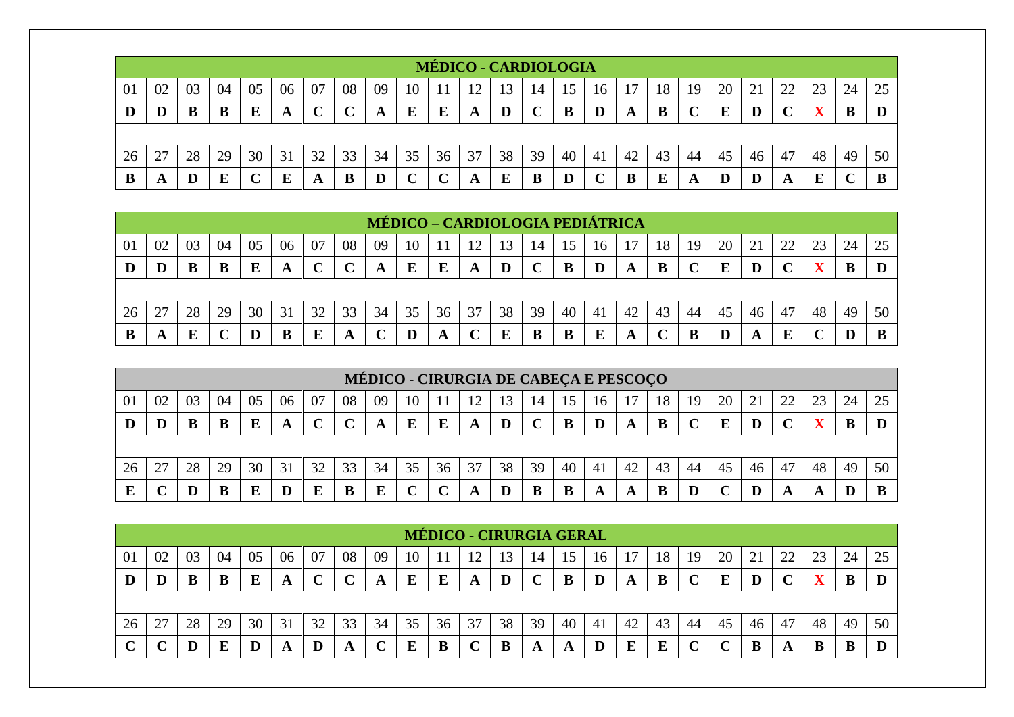|    |    |    |    |    |    |    |    |    |        |    | MÉDICO - CARDIOLOGIA |    |    |    |    |    |    |    |    |    |    |    |    |    |
|----|----|----|----|----|----|----|----|----|--------|----|----------------------|----|----|----|----|----|----|----|----|----|----|----|----|----|
| 01 | 02 | 03 | 04 | 05 | 06 | 07 | 08 | 09 | 10     |    |                      | 13 | 14 |    | 16 |    | 18 | 19 | 20 |    | 22 | 23 | 24 | 25 |
| IJ |    |    |    |    | A  |    |    | A  | E      | E  | A                    |    |    | B  | D  | A  | B  |    | E  |    |    |    | B  |    |
|    |    |    |    |    |    |    |    |    |        |    |                      |    |    |    |    |    |    |    |    |    |    |    |    |    |
| 26 |    | 28 | 29 | 30 | 31 | 32 | 33 | 34 | 35     | 36 | 37                   | 38 | 39 | 40 | 41 | 42 | 43 | 44 | 45 | 46 | 47 | 48 | 49 | 50 |
|    | A  |    | Е  |    | E  | A  | B  |    | $\sim$ |    | A                    |    | B  |    |    |    | E  | A  | D  |    | A  | F  |    |    |

|    |    |    |    |    |    |    |    |    |    |    |    |    |        | <b>MÉDICO – CARDIOLOGIA PEDIÁTRICA</b> |    |    |    |    |    |    |             |    |    |    |
|----|----|----|----|----|----|----|----|----|----|----|----|----|--------|----------------------------------------|----|----|----|----|----|----|-------------|----|----|----|
| 01 | 02 | 03 | 04 | 05 | 06 | 07 | 08 | 09 | 10 |    | 12 | 13 | 14     | 15                                     | 16 | 7  | 18 | 19 | 20 |    | 22          | 23 | 24 | 25 |
| IJ | D  | B  | B  |    | A  |    |    |    | E  | E  | A  | D  | $\sim$ |                                        | D  | A  | B  |    | E  |    | $\mathbf C$ |    |    |    |
|    |    |    |    |    |    |    |    |    |    |    |    |    |        |                                        |    |    |    |    |    |    |             |    |    |    |
| 26 | 27 | 28 | 29 | 30 | 31 | 32 | 33 | 34 | 35 | 36 | 37 | 38 | 39     | 40                                     | 41 | 42 | 43 | 44 | 45 | 46 | 47          | 48 | 49 | 50 |
| B  | A  |    |    |    | B  |    | A  |    |    | A  | ັ  |    |        |                                        | E  |    |    |    |    |    | E           |    |    |    |

|                |    |    |    |    |    |    |    |    |    |    |    |    |    |    |    | MÉDICO - CIRURGIA DE CABEÇA E PESCOÇO |    |    |    |    |    |    |    |    |
|----------------|----|----|----|----|----|----|----|----|----|----|----|----|----|----|----|---------------------------------------|----|----|----|----|----|----|----|----|
| 0 <sup>1</sup> | 02 | 03 | 04 | 05 | 06 | 07 | 08 | 09 | 10 |    |    | 13 | 14 | 15 | 16 |                                       | 18 | 19 | 20 |    | 22 | 23 | 24 | 25 |
| D              |    |    |    |    |    |    |    |    |    |    | A  |    |    | В  |    |                                       | B  |    | E  |    |    |    |    |    |
|                |    |    |    |    |    |    |    |    |    |    |    |    |    |    |    |                                       |    |    |    |    |    |    |    |    |
| 26             | 27 | 28 | 29 | 30 | 31 | 32 | 33 | 34 | 35 | 36 | 37 | 38 | 39 | 40 | 41 | 42                                    | 43 | 44 | 45 | 46 | 47 | 48 | 49 | 50 |
|                |    |    |    |    |    |    |    |    |    |    |    |    |    |    |    |                                       |    |    |    |    | A  |    |    |    |

|    |    |    |    |    |    |    |    |    |    |    | <b>MÉDICO - CIRURGIA GERAL</b> |    |              |    |     |    |    |    |    |    |    |    |    |    |
|----|----|----|----|----|----|----|----|----|----|----|--------------------------------|----|--------------|----|-----|----|----|----|----|----|----|----|----|----|
| 01 | 02 | 03 | 04 | 05 | 06 | 07 | 08 | 09 | 10 |    |                                | 13 | 14           | 15 | 16  |    | 18 | 19 | 20 | 21 | 22 |    | 24 | 25 |
| Ð  | D  |    | В  | Е  | A  |    |    | A  | E  | E  | A                              | D  | $\mathbf{C}$ | в  | D   | A  | B  |    | E  |    |    |    | B  |    |
|    |    |    |    |    |    |    |    |    |    |    |                                |    |              |    |     |    |    |    |    |    |    |    |    |    |
| 26 |    | 28 | 29 | 30 | 31 | 32 | 33 | 34 | 35 | 36 | 37                             | 38 | 39           | 40 | -41 | 42 | 43 | 44 | 45 | 46 | 47 | 48 | 49 | 50 |
|    |    |    | Е  |    | A  |    | A  |    | E  |    |                                | в  | A            | A  | D   |    | E  |    |    |    | A  |    | B  |    |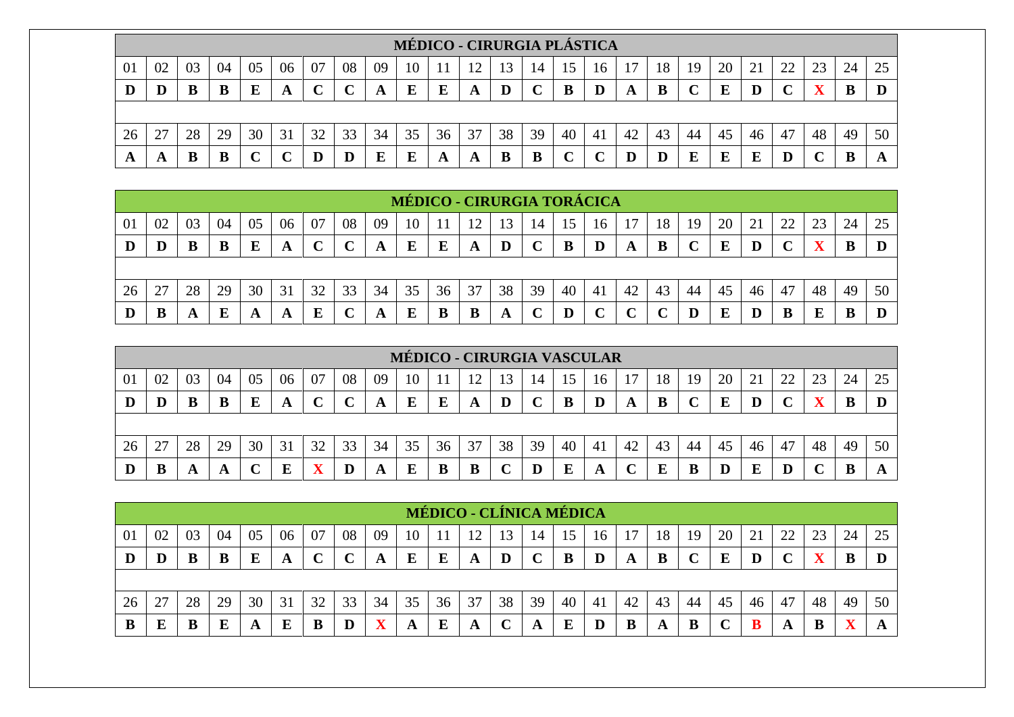|    |               |    |    |    |    |    |        |    |        |    |    | MÉDICO - CIRURGIA PLÁSTICA |    |    |    |    |    |    |    |    |        |    |    |    |
|----|---------------|----|----|----|----|----|--------|----|--------|----|----|----------------------------|----|----|----|----|----|----|----|----|--------|----|----|----|
| 01 | 02            | 03 | 04 | 05 | 06 | 07 | 08     | 09 | 10     |    |    |                            | 14 |    | 16 |    | 18 | 19 | 20 |    | 22     | 23 | 24 | 25 |
| D  |               | В  |    |    |    |    | $\sim$ | A  | E      | E  | A  |                            |    |    |    | A  | В  |    | E  |    | $\sim$ |    | B  |    |
|    |               |    |    |    |    |    |        |    |        |    |    |                            |    |    |    |    |    |    |    |    |        |    |    |    |
| 26 | $\mathcal{L}$ | 28 | 29 | 30 | 31 | 32 | 33     | 34 | 35     | 36 | 37 | 38                         | 39 | 40 | 41 | 42 | 43 | 44 | 45 | 46 | 47     | 48 | 49 | 50 |
| A  | л             | В  |    |    |    |    |        |    | ю<br>Ŀ | A  | A  | B                          | B  |    |    |    |    |    | E  |    | D      |    | В  |    |

|    |    |    |    |    |    |    |    |    |    |    |    |    |    |    | <b>MÉDICO - CIRURGIA TORÁCICA</b> |    |    |    |    |    |    |    |    |    |
|----|----|----|----|----|----|----|----|----|----|----|----|----|----|----|-----------------------------------|----|----|----|----|----|----|----|----|----|
| 01 | 02 | 03 | 04 | 05 | 06 | 07 | 08 | 09 | 10 |    | 12 | 3  | 14 |    | 16                                |    | 18 | 19 | 20 |    | 22 | 23 | 24 | 25 |
| IJ | D  | В  | B  | E  | A  |    |    |    | E  | E  | A  | D  |    |    | $\bf{D}$                          | A  | B  |    | E  |    |    |    |    |    |
|    |    |    |    |    |    |    |    |    |    |    |    |    |    |    |                                   |    |    |    |    |    |    |    |    |    |
| 26 | 27 | 28 | 29 | 30 | 31 | 32 | 33 | 34 | 35 | 36 | 37 | 38 | 39 | 40 | 41                                | 42 | 43 | 44 | 45 | 46 | 47 | 48 | 49 | 50 |
|    | B  | A  | E  | A  | A  |    |    |    |    |    |    | A  |    |    |                                   |    |    |    | E  |    |    |    |    |    |

|    |    |    |    |    |    |    |    |    |    |    | <b>MÉDICO - CIRURGIA VASCULAR</b> |    |    |    |     |    |    |    |    |    |    |    |    |    |
|----|----|----|----|----|----|----|----|----|----|----|-----------------------------------|----|----|----|-----|----|----|----|----|----|----|----|----|----|
| 01 | 02 | 03 | 04 | 05 | 06 | 07 | 08 | 09 | 10 |    |                                   | 13 | 14 | د، | 16  |    | 18 | 19 | 20 | 21 | 22 |    | 24 |    |
| IJ | D  |    |    |    | A  |    |    |    | E  | E  | A                                 |    |    | В  | D   | A  | B  |    | E  |    |    |    |    |    |
|    |    |    |    |    |    |    |    |    |    |    |                                   |    |    |    |     |    |    |    |    |    |    |    |    |    |
| 26 | 27 | 28 | 29 | 30 | 31 | 32 | 33 | 34 | 35 | 36 | 37                                | 38 | 39 | 40 | -41 | 42 | 43 | 44 | 45 | 46 | 47 | 48 | 49 | 50 |
|    |    |    | A  |    |    |    |    |    | E  |    | В                                 |    |    | E  | A   |    |    |    |    |    |    |    |    |    |

|    |    |    |    |    |    |    |                   |    |    | MÉDICO - CLÍNICA MÉDICA |    |    |    |    |    |    |    |    |    |    |    |    |    |    |
|----|----|----|----|----|----|----|-------------------|----|----|-------------------------|----|----|----|----|----|----|----|----|----|----|----|----|----|----|
| 01 | 02 | 03 | 04 | 05 | 06 | 07 | 08                | 09 | 10 |                         | 12 | 13 | 14 | 15 | 16 |    | 18 | 19 | 20 | 21 | 22 | 23 | 24 | 25 |
|    |    |    |    |    | A  |    | $\mathbf{C}$<br>ັ | A  | E  | E                       | A  | D  |    | В  | D  | A  | B  |    | E  |    |    |    |    |    |
|    |    |    |    |    |    |    |                   |    |    |                         |    |    |    |    |    |    |    |    |    |    |    |    |    |    |
| 26 | 27 | 28 | 29 | 30 | 31 | 32 | 33                | 34 | 35 | 36                      | 37 | 38 | 39 | 40 | 41 | 42 | 43 | 44 | 45 | 46 | 47 | 48 | 49 | 50 |
| B  | E  | В  |    |    | E  |    | D                 |    | A  |                         | A  |    | A  | E  | D  |    | A  | В  |    |    | A  |    |    |    |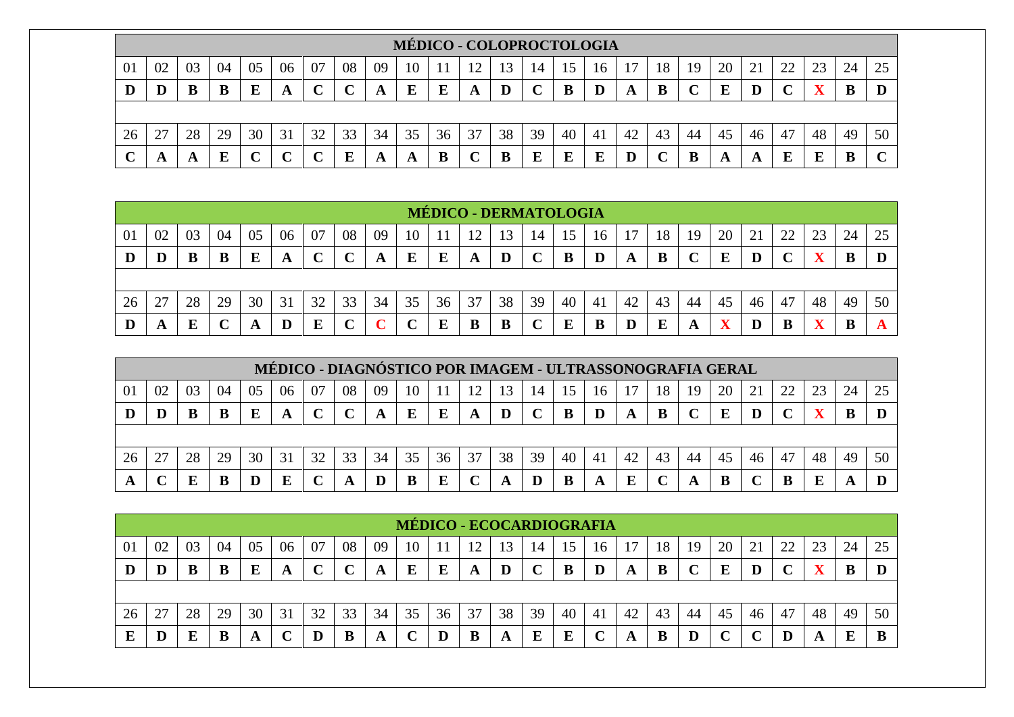|    |        |    |    |    |    |    |              |    |    |    | <b>MÉDICO - COLOPROCTOLOGIA</b> |    |    |    |     |    |    |    |    |    |    |    |    |    |
|----|--------|----|----|----|----|----|--------------|----|----|----|---------------------------------|----|----|----|-----|----|----|----|----|----|----|----|----|----|
| 01 | 02     | 03 | 04 | 05 | 06 | 07 | 08           | 09 | 10 |    | ר ו                             | 13 | 14 | 15 | 16  |    | 18 | 19 | 20 |    | 22 | 23 | 24 | 25 |
| D  |        |    |    | E  | A  |    | $\mathbf{C}$ | A  | E  | Е  | A                               |    |    | B  | D   | A  | B  |    | E  |    |    | wz | В  |    |
|    |        |    |    |    |    |    |              |    |    |    |                                 |    |    |    |     |    |    |    |    |    |    |    |    |    |
| 26 | $\cap$ | 28 | 29 | 30 | 31 | 32 | 33           | 34 | 35 | 36 | 37                              | 38 | 39 | 40 | -41 | 42 | 43 | 44 | 45 | 46 | 47 | 48 | 49 | 50 |
| ⌒  |        | A  | E  |    |    |    | E            | A  | A  | B  |                                 |    | E  | E  | E   |    |    |    | A  | A  | E  | Ľ  | В  |    |

|    |    |    |        |    |    |    |    |    |    |    |    |    | <b>MÉDICO - DERMATOLOGIA</b> |    |    |    |    |    |    |    |             |    |    |    |
|----|----|----|--------|----|----|----|----|----|----|----|----|----|------------------------------|----|----|----|----|----|----|----|-------------|----|----|----|
| 01 | 02 | 03 | 04     | 05 | 06 | 07 | 08 | 09 | 10 |    | 12 | 13 | 14                           | 15 | 16 |    | 18 | 19 | 20 | 21 | 22          | 23 | 24 | 25 |
| D  | D  | B  | B      | E  | A  |    |    |    | E  | E  | A  | D  |                              |    | D  | A  | B  |    | E  |    | $\sim$<br>◡ |    | B  |    |
|    |    |    |        |    |    |    |    |    |    |    |    |    |                              |    |    |    |    |    |    |    |             |    |    |    |
| 26 | 27 | 28 | 29     | 30 | 31 | 32 | 33 | 34 | 35 | 36 | 37 | 38 | 39                           | 40 | 41 | 42 | 43 | 44 | 45 | 46 | 47          | 48 | 49 | 50 |
| D  | A  |    | $\sim$ |    | D  | E  |    |    |    | м, |    | B  | $\sim$                       | E  | в  | D  | Е  | A  | ▾  |    | B           |    | B  |    |

|    |    |    |    |    | MÉDICO - DIAGNÓSTICO POR IMAGEM - ULTRASSONOGRAFIA GERAL |     |              |     |    |    |    |    |    |    |    |    |    |    |    |    |             |    |    |    |
|----|----|----|----|----|----------------------------------------------------------|-----|--------------|-----|----|----|----|----|----|----|----|----|----|----|----|----|-------------|----|----|----|
| 01 | 02 | 03 | 04 | 05 | 06                                                       | -07 | 08           | -09 | 10 |    | 12 | 13 | 14 | 15 | 16 |    | 18 | 19 | 20 |    | 22          | 23 | 24 | 25 |
|    |    |    | B  |    | A                                                        |     | $\mathbf{C}$ |     | E  | E  | A  |    |    | В  | D  | A  | B  |    | E  | D  | $\mathbf C$ |    |    |    |
|    |    |    |    |    |                                                          |     |              |     |    |    |    |    |    |    |    |    |    |    |    |    |             |    |    |    |
| 26 |    | 28 | 29 | 30 | 31                                                       | 32  | 33           | 34  | 35 | 36 | 37 | 38 | 39 | 40 | 41 | 42 | 43 | 44 | 45 | 46 | 47          | 48 | 49 | 50 |
|    |    |    | B  |    | E                                                        |     | A            |     | B  |    |    |    |    |    | A  | E  |    | A  | B  |    |             |    | A  |    |

|    |    |    |    |    |    |    |    |    |    |    | MÉDICO - ECOCARDIOGRAFIA |    |              |    |                    |    |    |    |    |    |    |    |    |    |
|----|----|----|----|----|----|----|----|----|----|----|--------------------------|----|--------------|----|--------------------|----|----|----|----|----|----|----|----|----|
| 01 | 02 | 03 | 04 | 05 | 06 | 07 | 08 | 09 | 10 |    | ി                        | 13 | 14           |    | 16                 |    | 18 | 19 | 20 | 21 | 22 |    | 24 |    |
| Ð  |    |    |    |    | A  |    |    | A  | E  | E  | A                        | D  | $\mathbf{C}$ | в  | D                  | A  | В  |    | E  |    |    |    | Đ  |    |
|    |    |    |    |    |    |    |    |    |    |    |                          |    |              |    |                    |    |    |    |    |    |    |    |    |    |
| 26 | 27 | 28 | 29 | 30 | 31 | 32 | 33 | 34 | 35 | 36 | 37                       | 38 | 39           | 40 | -41                | 42 | 43 | 44 | 45 | 46 | 47 | 48 | 49 | 50 |
|    |    |    |    |    |    |    | В  | A  |    |    | B                        | A  | E            | E  | $\curvearrowright$ | A  | В  |    |    |    |    |    | ы  |    |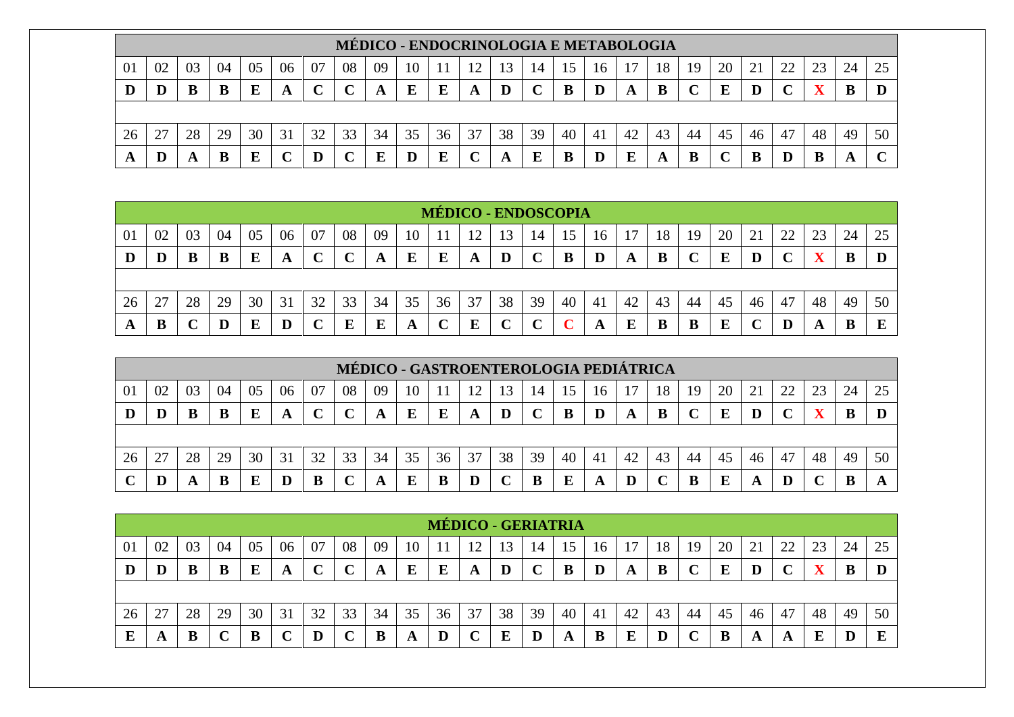|    |                                                                                                     |    |    |    |   |    |        |    |    |    |    |    |    |    |                | MÉDICO - ENDOCRINOLOGIA E METABOLOGIA |    |    |    |    |        |    |    |    |
|----|-----------------------------------------------------------------------------------------------------|----|----|----|---|----|--------|----|----|----|----|----|----|----|----------------|---------------------------------------|----|----|----|----|--------|----|----|----|
| 01 | 20<br>08<br>18<br>22<br>03<br>02<br>09<br>23<br>19<br>07<br>24<br>10<br>-04<br>05<br>14<br>U6<br>16 |    |    |    |   |    |        |    |    |    |    |    |    |    |                |                                       |    |    |    |    |        |    |    |    |
|    |                                                                                                     | В  |    |    |   |    | $\sim$ |    | E  | E  | A  |    |    |    |                |                                       | В  |    | E  |    | $\sim$ |    | В  |    |
|    |                                                                                                     |    |    |    |   |    |        |    |    |    |    |    |    |    |                |                                       |    |    |    |    |        |    |    |    |
| 26 | $\cap$                                                                                              | 28 | 29 | 30 | 2 | 32 | 33     | 34 | 35 | 36 | 37 | 38 | 39 | 40 | 4 <sub>1</sub> | 42                                    | 43 | 44 | 45 | 46 | 47     | 48 | 49 | 50 |
|    |                                                                                                     |    |    |    |   |    |        |    | D  | Е  |    |    | E  |    |                |                                       | A  |    |    |    |        |    |    |    |

|    |    |    |    |    |           |    |    |    |    | <b>MÉDICO - ENDOSCOPIA</b> |    |    |    |    |    |    |    |    |    |    |    |        |    |    |
|----|----|----|----|----|-----------|----|----|----|----|----------------------------|----|----|----|----|----|----|----|----|----|----|----|--------|----|----|
| 01 | 02 | 03 | 04 | 05 | 06        | 07 | 08 | 09 | 10 |                            | ി  | 3  | 14 |    | 16 |    | 18 | 19 | 20 | 21 | 22 | $\cap$ | 24 | 25 |
| D  | D  |    | B  | Ε  | A         |    | ◡  | A  | E  | E                          | A  | D  | ັ  |    |    |    | B  |    | E  |    |    |        | IJ |    |
|    |    |    |    |    |           |    |    |    |    |                            |    |    |    |    |    |    |    |    |    |    |    |        |    |    |
| 26 | 27 | 28 | 29 | 30 | 31        | 32 | 33 | 34 | 35 | 36                         | 37 | 38 | 39 | 40 | 41 | 42 | 43 | 44 | 45 | 46 | 47 | 48     | 49 | 50 |
| A  | B  |    |    |    | ${\bf D}$ |    | E  | в  | A  |                            | E  |    | ◡  |    | A  |    |    | В  | E  |    |    | A      | B  | ш  |

|    |    |    |    |    |    |    |              | MÉDICO - GASTROENTEROLOGIA PEDIÁTRICA |    |    |    |          |    |    |    |    |    |    |    |    |    |    |    |    |
|----|----|----|----|----|----|----|--------------|---------------------------------------|----|----|----|----------|----|----|----|----|----|----|----|----|----|----|----|----|
| 01 | 02 | 03 | 04 | 05 | 06 | 07 | 08           | 09                                    | 10 |    | 12 | 13       | 14 | 15 | 16 |    | 18 | 19 | 20 |    | 22 | 23 | 24 |    |
|    |    |    |    |    | A  |    | $\mathbf{C}$ | A                                     | E  |    | A  | $\bf{D}$ |    | в  |    |    | B  |    | E  |    |    |    |    |    |
|    |    |    |    |    |    |    |              |                                       |    |    |    |          |    |    |    |    |    |    |    |    |    |    |    |    |
| 26 | 27 | 28 | 29 | 30 | 31 | 32 | 33           | 34                                    | 35 | 36 | 37 | 38       | 39 | 40 | 41 | 42 | 43 | 44 | 45 | 46 | 47 | 48 | 49 | 50 |
|    |    |    | B  |    | D  |    | ັ            | A                                     | E  |    | D  |          |    |    | A  |    |    |    | E  |    | D  |    |    |    |

|    |    |    |    |    |    |    |    |    |    |    | MÉDICO - GERIATRIA |    |              |    |     |    |    |    |    |    |            |    |    |    |
|----|----|----|----|----|----|----|----|----|----|----|--------------------|----|--------------|----|-----|----|----|----|----|----|------------|----|----|----|
| 01 | 02 | 03 | 04 | 05 | 06 | 07 | 08 | 09 | 10 |    |                    | 13 | 14           | 15 | 16  |    | 18 | 19 | 20 | 21 | 22         |    | 24 | 25 |
| D  |    |    |    |    | A  |    |    | A  | E  | E  | A                  | D  | $\mathbf{C}$ | B  | D   | A  | B  |    | E  |    | $\sqrt{ }$ | -- | B  |    |
|    |    |    |    |    |    |    |    |    |    |    |                    |    |              |    |     |    |    |    |    |    |            |    |    |    |
| 26 | 27 | 28 | 29 | 30 | 31 | 32 | 33 | 34 | 35 | 36 | 37                 | 38 | 39           | 40 | -41 | 42 | 43 | 44 | 45 | 46 | 47         | 48 | 49 | 50 |
|    | A  |    |    |    |    |    |    | B  | A  |    |                    | E  |              | A  | B   |    |    |    | В  | A  | A          |    | D  | T. |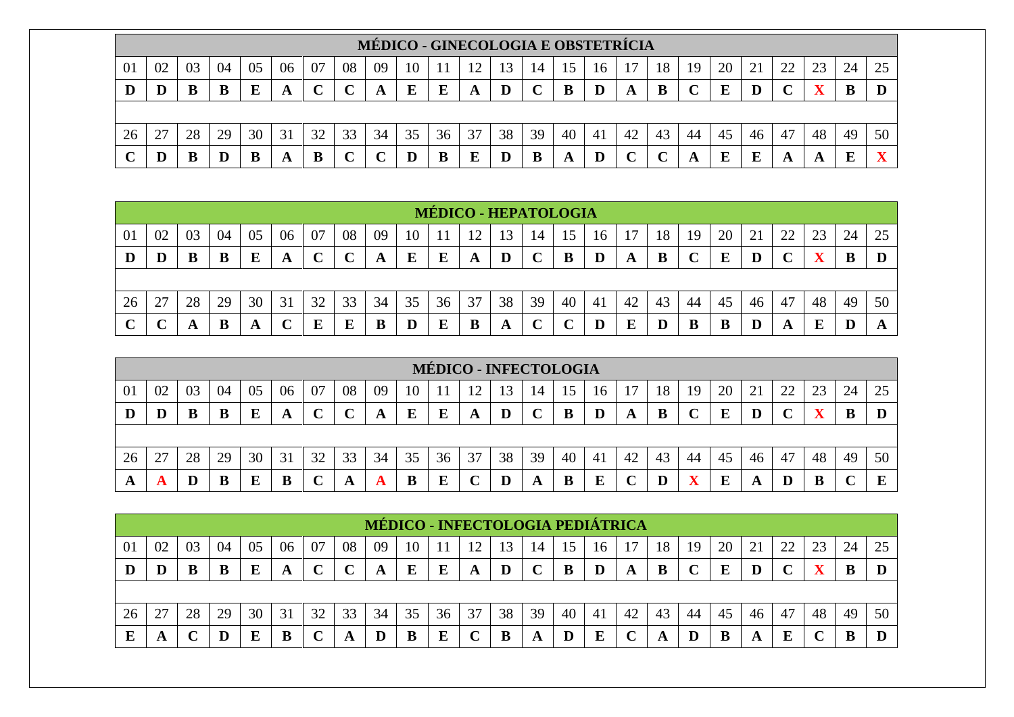|    |                                                                                                                      |    |    |    |    |    |    | MÉDICO - GINECOLOGIA E OBSTETRÍCIA |    |    |    |    |    |    |     |    |    |    |    |    |    |    |        |    |
|----|----------------------------------------------------------------------------------------------------------------------|----|----|----|----|----|----|------------------------------------|----|----|----|----|----|----|-----|----|----|----|----|----|----|----|--------|----|
| 01 | 07<br>08<br>18<br>02<br>03<br>09<br>20<br>22<br>05<br>06<br>10<br>19<br>23<br>04<br>13<br>14<br>24<br>רי<br>15<br>16 |    |    |    |    |    |    |                                    |    |    |    |    |    |    |     |    |    |    |    |    |    |    |        |    |
|    |                                                                                                                      |    |    | E  | A  |    |    | A                                  | E  | Ε  | A  |    |    |    |     |    | B  |    | E  |    |    |    | В      |    |
|    |                                                                                                                      |    |    |    |    |    |    |                                    |    |    |    |    |    |    |     |    |    |    |    |    |    |    |        |    |
| 26 |                                                                                                                      | 28 | 29 | 30 | 31 | 32 | 33 | 34                                 | 35 | 36 | 37 | 38 | 39 | 40 | -41 | 42 | 43 | 44 | 45 | 46 | 47 | 48 | 49     | 50 |
| ⌒  |                                                                                                                      |    |    |    | A  |    |    |                                    |    | B  |    |    |    |    | D   |    |    |    | E  |    |    |    | F<br>∸ |    |

|    |        |    |    |    |    |    |                         |    |    | <b>MÉDICO - HEPATOLOGIA</b> |     |    |                   |    |                |    |    |    |    |    |    |    |    |    |
|----|--------|----|----|----|----|----|-------------------------|----|----|-----------------------------|-----|----|-------------------|----|----------------|----|----|----|----|----|----|----|----|----|
| 01 | 02     | 03 | 04 | 05 | 06 | 07 | 08                      | 09 | 10 |                             | ר ו | 3  | 14                |    | 16             |    | 18 | 19 | 20 | 21 | 22 | 23 | 24 | 25 |
| D  | D      | B  | B  | E  | A  | ◡  | $\curvearrowright$<br>◡ | A  | E  | E                           | A   | D  | $\mathbf C$<br>֊  |    |                | A  | B  |    | E  |    |    |    | B  |    |
|    |        |    |    |    |    |    |                         |    |    |                             |     |    |                   |    |                |    |    |    |    |    |    |    |    |    |
| 26 | 27     | 28 | 29 | 30 | 31 | 32 | 33                      | 34 | 35 | 36                          | 37  | 38 | 39                | 40 | 4 <sub>1</sub> | 42 | 43 | 44 | 45 | 46 | 47 | 48 | 49 | 50 |
|    | $\sim$ |    | B  |    | ັ  | Е  | Е                       | B  |    |                             |     | A  | $\mathbf{C}$<br>֊ |    |                | E  |    | B  | B  |    | A  |    | D  |    |

|    |                                 |    |    |    |        |    |    |    |    |    | <b>MÉDICO - INFECTOLOGIA</b> |    |    |                         |                |    |    |    |    |    |    |    |    |    |
|----|---------------------------------|----|----|----|--------|----|----|----|----|----|------------------------------|----|----|-------------------------|----------------|----|----|----|----|----|----|----|----|----|
| 01 | 02                              | 03 | 04 | 05 | 06     | 07 | 08 | 09 | 10 |    | ∣າ                           | 13 | 14 | $\overline{\mathbf{a}}$ | 16             |    | 18 | 19 | 20 | ∠⊥ | 22 | 23 | 24 | 25 |
| D  |                                 |    |    |    | A      |    |    | A  |    |    | A                            |    |    | B                       |                |    | B  |    | E  |    |    |    |    |    |
|    |                                 |    |    |    |        |    |    |    |    |    |                              |    |    |                         |                |    |    |    |    |    |    |    |    |    |
| 26 | $\mathcal{L}$<br>$\overline{2}$ | 28 | 29 | 30 | 31     | 32 | 33 | 34 | 35 | 36 | 37                           | 38 | 39 | 40                      | 4 <sub>1</sub> | 42 | 43 | 44 | 45 | 46 | 47 | 48 | 49 | 50 |
|    |                                 |    | Đ  |    | D<br>Đ |    |    |    |    |    |                              |    | A  | В                       | E              |    |    |    | E  |    |    |    |    | E  |

|    |    |    |    |    |    |    |    |    |    |    |    |    |    |    |    | MÉDICO - INFECTOLOGIA PEDIÁTRICA |    |    |    |    |    |    |    |    |
|----|----|----|----|----|----|----|----|----|----|----|----|----|----|----|----|----------------------------------|----|----|----|----|----|----|----|----|
| 01 | 02 | 03 | 04 | 05 | 06 | 07 | 08 | 09 | 10 |    |    |    | 14 |    | 16 |                                  | 18 | 19 | 20 |    | 22 | ົ  | 24 |    |
| IJ | D  |    |    |    | A  |    |    |    | E  | E  | A  |    |    |    |    |                                  | B  |    | г  |    |    |    |    |    |
|    |    |    |    |    |    |    |    |    |    |    |    |    |    |    |    |                                  |    |    |    |    |    |    |    |    |
| 26 |    | 28 | 29 | 30 | 31 | 32 | 33 | 34 | 35 | 36 | 37 | 38 | 39 | 40 | 41 | 42                               | 43 | 44 | 45 | 46 | 47 | 48 | 49 | 50 |
|    | A  |    |    |    |    |    | A  |    |    | E  |    | B  | A  |    | E  |                                  | A  |    | B  |    | E  |    |    |    |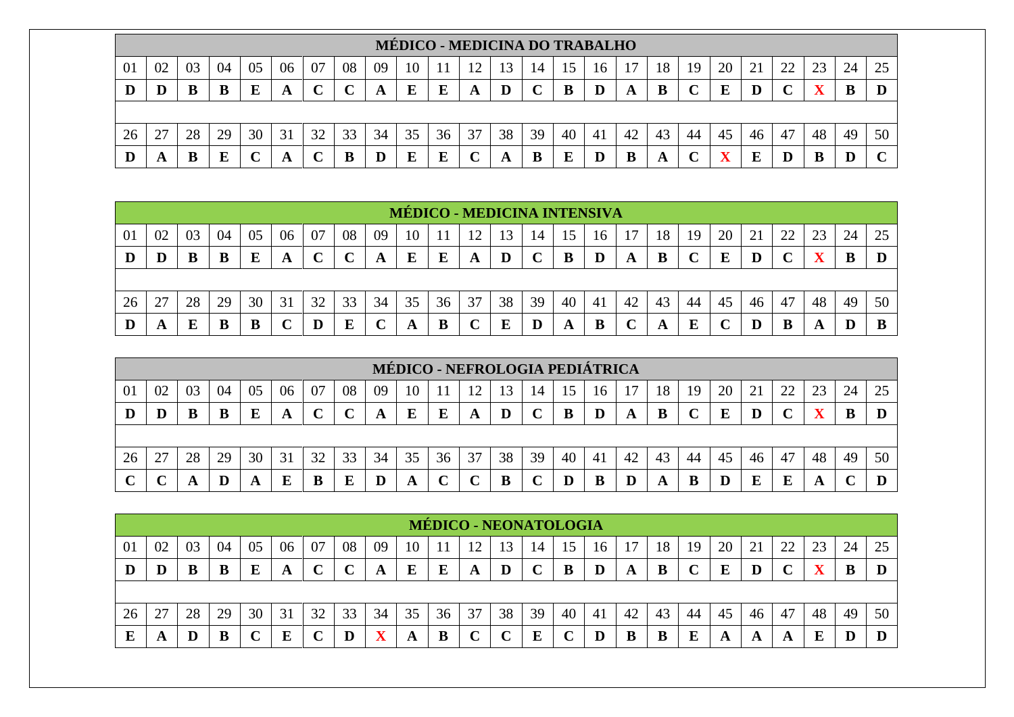|    |                                                                                                                      |    |    |    |                  |    |    |    |    |    | <b>MÉDICO - MEDICINA DO TRABALHO</b> |    |    |    |     |    |    |    |    |    |    |    |    |    |
|----|----------------------------------------------------------------------------------------------------------------------|----|----|----|------------------|----|----|----|----|----|--------------------------------------|----|----|----|-----|----|----|----|----|----|----|----|----|----|
| 01 | 07<br>08<br>18<br>02<br>03<br>09<br>20<br>22<br>25<br>05<br>06<br>10<br>23<br>04<br>19<br>13<br>24<br>14<br>16<br>15 |    |    |    |                  |    |    |    |    |    |                                      |    |    |    |     |    |    |    |    |    |    |    |    |    |
|    |                                                                                                                      |    |    | E  | A                |    |    | A  | E  | Ε  | A                                    |    | ֊  | B  |     |    | B  |    | F  |    |    |    | В  |    |
|    |                                                                                                                      |    |    |    |                  |    |    |    |    |    |                                      |    |    |    |     |    |    |    |    |    |    |    |    |    |
| 26 |                                                                                                                      | 28 | 29 | 30 | 31               | 32 | 33 | 34 | 35 | 36 | 37                                   | 38 | 39 | 40 | -41 | 42 | 43 | 44 | 45 | 46 | 47 | 48 | 49 | 50 |
|    |                                                                                                                      |    |    |    | $\boldsymbol{A}$ |    |    |    | E  |    |                                      |    |    | E  |     |    | A  |    |    |    |    | В  |    |    |

|    |    |    |    |    |    |    |    |    |    |    |    |    |    |    | <b>MÉDICO - MEDICINA INTENSIVA</b> |    |    |    |    |    |    |    |    |    |
|----|----|----|----|----|----|----|----|----|----|----|----|----|----|----|------------------------------------|----|----|----|----|----|----|----|----|----|
| 01 | 02 | 03 | 04 | 05 | 06 | 07 | 08 | 09 | 10 |    | 12 | 13 | 14 |    | 16                                 |    | 18 | 19 | 20 | 21 | 22 | 23 | 24 |    |
| D  | D  | B  | B  | E  | A  |    |    |    | E  | Е  | A  |    |    |    |                                    | A  | B  |    | E  |    |    |    | ĸ  |    |
|    |    |    |    |    |    |    |    |    |    |    |    |    |    |    |                                    |    |    |    |    |    |    |    |    |    |
| 26 | 27 | 28 | 29 | 30 | 31 | 32 | 33 | 34 | 35 | 36 | 37 | 38 | 39 | 40 | 41                                 | 42 | 43 | 44 | 45 | 46 | 47 | 48 | 49 | 50 |
| D  | A  | E  | B  |    | ֊  |    | E  |    | A  |    | ັ  | E  |    |    | B                                  |    | A  |    |    |    | B  |    | D  |    |

|    |    |    |    |    |    |    |    |    |    |    | MÉDICO - NEFROLOGIA PEDIÁTRICA |    |    |    |    |    |    |    |    |    |    |    |    |    |
|----|----|----|----|----|----|----|----|----|----|----|--------------------------------|----|----|----|----|----|----|----|----|----|----|----|----|----|
| 01 | 02 | 03 | 04 | 05 | 06 | 07 | 08 | 09 | 10 |    | 12                             | 13 | 14 | 15 | 16 |    | 18 | 19 | 20 |    | 22 | 23 | 24 | 25 |
| D  |    |    |    |    | A  |    | ັ  | A  |    |    | A                              |    |    | B  |    |    | B  |    | E  |    |    |    |    |    |
|    |    |    |    |    |    |    |    |    |    |    |                                |    |    |    |    |    |    |    |    |    |    |    |    |    |
| 26 | 27 | 28 | 29 | 30 | 31 | 32 | 33 | 34 | 35 | 36 | 37                             | 38 | 39 | 40 | 41 | 42 | 43 | 44 | 45 | 46 | 47 | 48 | 49 | 50 |
|    |    |    | Ш  |    | E  |    | Ľ  |    | A  |    |                                | в  |    |    | B  |    | A  |    | D  | E  | E  | A  |    |    |

|    |    |    |    |    |    |    |        |    |    |    | <b>MÉDICO - NEONATOLOGIA</b> |    |    |    |    |    |    |    |    |    |        |    |    |    |
|----|----|----|----|----|----|----|--------|----|----|----|------------------------------|----|----|----|----|----|----|----|----|----|--------|----|----|----|
| 01 | 02 | 03 | 04 | 05 | 06 | 07 | 08     | 09 | 10 |    |                              | 13 | 14 |    | 16 |    | 18 | 19 | 20 | 21 | 22     |    | 24 | 25 |
| D  | D  |    | B  | E  | A  |    | $\sim$ | A  | E  | E  | A                            | D  |    |    |    | A  | B  |    | E  |    | $\sim$ |    | ĸ  |    |
|    |    |    |    |    |    |    |        |    |    |    |                              |    |    |    |    |    |    |    |    |    |        |    |    |    |
| 26 | 27 | 28 | 29 | 30 | 31 | 30 | 33     | 34 | 35 | 36 | 37                           | 38 | 39 | 40 | 41 | 42 | 43 | 44 | 45 | 46 | 47     | 48 | 49 | 50 |
|    | A  |    | в  |    | E  |    |        |    | A  | В  |                              |    | E  |    |    |    | B  |    | A  | A  | A      |    |    |    |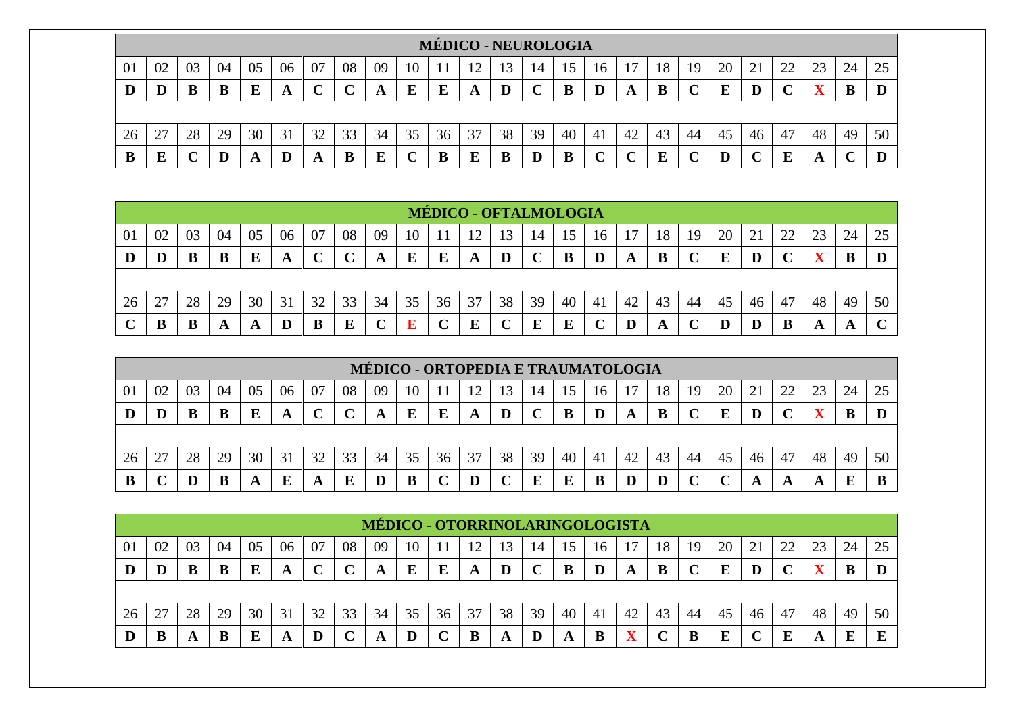|    |              |    |    |    |    |    |    |    |    |    |            |    | <b>MÉDICO - NEUROLOGIA</b> |    |     |    |    |    |    |    |    |    |    |    |
|----|--------------|----|----|----|----|----|----|----|----|----|------------|----|----------------------------|----|-----|----|----|----|----|----|----|----|----|----|
| 01 | 02           |    | 04 | 05 | 06 | 07 | 08 | 09 | 10 |    | $\sqrt{2}$ | 13 | 14                         | 15 | 16  |    | 18 | 19 | 20 | 21 | 22 | 23 | 24 | 25 |
|    |              | В  | B  |    |    |    | n  |    | E  | Е  | A          | D  |                            |    | D   | A  |    |    | F  |    |    |    | D  |    |
|    |              |    |    |    |    |    |    |    |    |    |            |    |                            |    |     |    |    |    |    |    |    |    |    |    |
| 26 | $2^{\prime}$ | 28 | 29 | 30 | 31 | 32 | 33 | 34 | 35 | 36 | 37         | 38 | 39                         | 40 | -41 | 42 | 43 | 44 | 45 | 46 | 47 | 48 | 49 | 50 |
| B  |              |    |    | A  | D  | A  | B  | E  | ◡  | B  | E          |    |                            | В  | ⌒   |    | F  |    |    |    | E  |    |    |    |

|    |    |    |    |    |    |    |    |    |    | <b>MÉDICO - OFTALMOLOGIA</b> |    |    |    |    |    |              |    |    |    |    |    |    |    |        |
|----|----|----|----|----|----|----|----|----|----|------------------------------|----|----|----|----|----|--------------|----|----|----|----|----|----|----|--------|
| 01 | 02 | 03 | 04 | 05 | 06 | 07 | 08 | 09 | 10 |                              | ി  | 3  | 14 |    | 16 |              | 18 | 19 | 20 | 21 | 22 |    | 24 | 25     |
| D  | D  | В  | B  | Ε  | A  |    | ◡  | A  | E  | E                            | A  | D  | ັ  |    |    | $\mathbf{A}$ | B  |    | E  |    |    |    | B  |        |
|    |    |    |    |    |    |    |    |    |    |                              |    |    |    |    |    |              |    |    |    |    |    |    |    |        |
| 26 | 27 | 28 | 29 | 30 | 31 | 32 | 33 | 34 | 35 | 36                           | 37 | 38 | 39 | 40 | 41 | 42           | 43 | 44 | 45 | 46 | 47 | 48 | 49 | 50     |
|    |    |    | A  |    | D  | B  | E  |    | E  |                              | E  |    | E  |    |    |              | A  |    | D  |    | B  | A  | A  | $\sim$ |

|    |        |    |    |    |    |    |    |    |    |    |    |    |    |    |    | MÉDICO - ORTOPEDIA E TRAUMATOLOGIA |    |    |    |    |    |    |    |    |
|----|--------|----|----|----|----|----|----|----|----|----|----|----|----|----|----|------------------------------------|----|----|----|----|----|----|----|----|
| 01 | 02     | 03 | 04 | 05 | 06 | 07 | 08 | 09 | 10 |    | 12 | 13 | 14 |    | 16 |                                    | 18 | 19 | 20 |    | 22 | 23 | 24 |    |
|    |        |    |    |    | A  |    |    | A  |    |    | A  |    |    | в  |    |                                    | B  |    | E  |    |    |    |    |    |
|    |        |    |    |    |    |    |    |    |    |    |    |    |    |    |    |                                    |    |    |    |    |    |    |    |    |
| 26 | $\cap$ | 28 | 29 | 30 | 31 | 32 | 33 | 34 | 35 | 36 | 37 | 38 | 39 | 40 | 41 | 42                                 | 43 | 44 | 45 | 46 | 47 | 48 | 49 | 50 |
|    |        |    |    |    |    |    |    |    |    |    |    |    |    |    |    |                                    |    |    |    |    | A  |    |    |    |

|    |    |    |    |    |    |    |    |    |    |    | <b>MÉDICO - OTORRINOLARINGOLOGISTA</b> |    |    |    |    |    |    |    |    |    |    |    |    |    |
|----|----|----|----|----|----|----|----|----|----|----|----------------------------------------|----|----|----|----|----|----|----|----|----|----|----|----|----|
| 01 | 02 | 03 | 04 | 05 | 06 | 07 | 08 | 09 | 10 |    | 12                                     | 3  | 14 |    | 16 |    | 18 | 19 | 20 | 21 | 22 | ົ  | 24 |    |
| IJ | D  |    |    |    | A  |    |    |    | E  | E  | A                                      |    |    |    |    | A  | B  |    | E  |    |    |    |    |    |
|    |    |    |    |    |    |    |    |    |    |    |                                        |    |    |    |    |    |    |    |    |    |    |    |    |    |
| 26 | 27 | 28 | 29 | 30 | 31 | 32 | 33 | 34 | 35 | 36 | 37                                     | 38 | 39 | 40 | 41 | 42 | 43 | 44 | 45 | 46 | 47 | 48 | 49 | 50 |
|    |    |    |    |    | A  |    |    |    |    |    |                                        | A  |    | A  | B  |    |    |    | E  |    | Б  |    | ш  |    |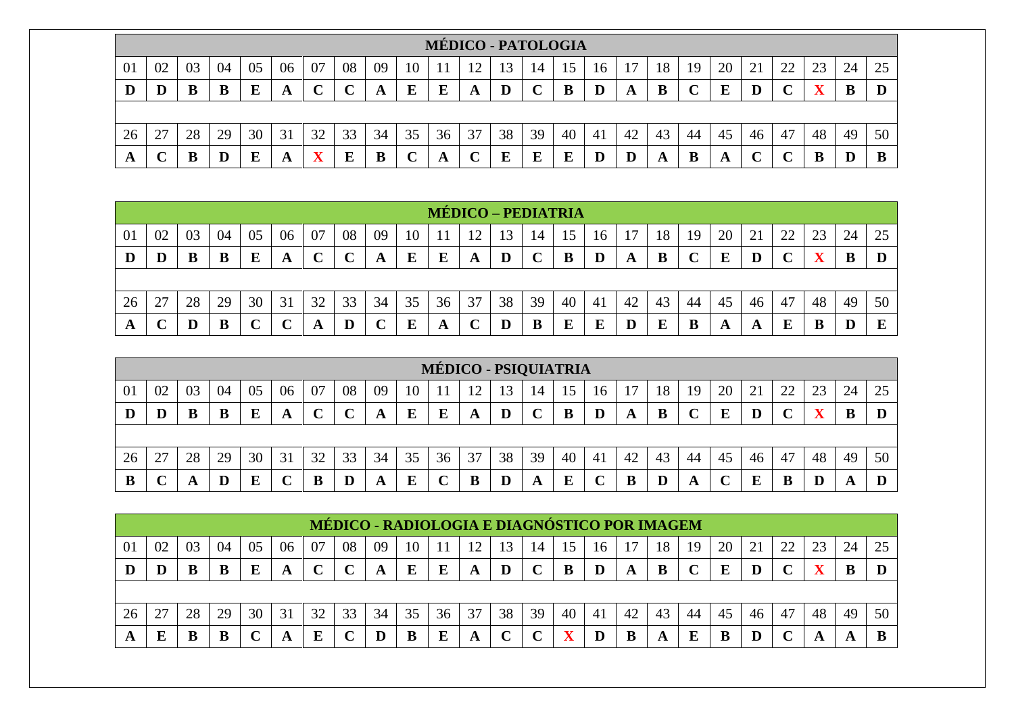|    |    |    |    |    |    |    |    |    |    | <b>MÉDICO - PATOLOGIA</b> |    |    |    |    |    |    |    |    |    |    |    |    |    |    |
|----|----|----|----|----|----|----|----|----|----|---------------------------|----|----|----|----|----|----|----|----|----|----|----|----|----|----|
| 01 | 02 | 03 | 04 | 05 | 06 | 07 | 08 | 09 | 10 |                           | ∣າ | 13 | 14 | 15 | 16 |    | 18 | 19 | 20 | 21 | 22 | 23 | 24 | 25 |
|    | D  |    | B  |    | A  |    |    | A  | E  |                           | A  |    |    |    |    | A  | B  |    | E  |    |    | 57 |    |    |
|    |    |    |    |    |    |    |    |    |    |                           |    |    |    |    |    |    |    |    |    |    |    |    |    |    |
| 26 | 27 | 28 | 29 | 30 | 31 | 32 | 33 | 34 | 35 | 36                        | 37 | 38 | 39 | 40 | 41 | 42 | 43 | 44 | 45 | 46 | 47 | 48 | 49 | 50 |
|    |    |    | D  |    | A  |    |    | В  |    |                           |    | E  | E  | E  |    |    | A  |    | Ð  |    |    | D  |    |    |

|    |    |    |    |    |    |    |    |    |    |    | <b>MÉDICO – PEDIATRIA</b> |    |    |    |    |    |    |    |    |    |    |    |    |    |
|----|----|----|----|----|----|----|----|----|----|----|---------------------------|----|----|----|----|----|----|----|----|----|----|----|----|----|
| 01 | 02 | 03 | 04 | 05 | 06 | 07 | 08 | 09 | 10 |    | ۱۹                        | 13 | 14 | 15 | 16 |    | 18 | 19 | 20 |    | 22 | 23 | 24 | 25 |
| D  | D  |    | B  | Е  | A  |    | ◡  | A  | E  | E  | A                         | IJ |    | D  | D  | A  | B  |    | E  |    |    |    | B  |    |
|    |    |    |    |    |    |    |    |    |    |    |                           |    |    |    |    |    |    |    |    |    |    |    |    |    |
| 26 | 27 | 28 | 29 | 30 | 31 | 32 | 33 | 34 | 35 | 36 | 37                        | 38 | 39 | 40 | 41 | 42 | 43 | 44 | 45 | 46 | 47 | 48 | 49 | 50 |
| A  |    | D  | B  |    |    | A  | D  |    | E  | A  |                           |    | B  |    |    | D  | E  | B  | A  |    | E  | В  |    | E  |

|    |    |    |    |    |    |    |                  |    |    |    | MÉDICO - PSIQUIATRIA |    |    |    |                |    |    |    |    |    |    |    |    |    |
|----|----|----|----|----|----|----|------------------|----|----|----|----------------------|----|----|----|----------------|----|----|----|----|----|----|----|----|----|
| 01 | 02 | 03 | 04 | 05 | 06 | 07 | 08               | 09 | 10 |    | ി                    | 13 | 14 | 15 | 16             |    | 18 | 19 | 20 | ∠⊥ | 22 | 23 | 24 | 25 |
| D  | D  |    |    |    | A  |    | $\mathbf C$<br>ັ |    | E  | E  | A                    |    |    | В  |                | A  | B  |    | E  |    |    |    |    |    |
|    |    |    |    |    |    |    |                  |    |    |    |                      |    |    |    |                |    |    |    |    |    |    |    |    |    |
| 26 | 27 | 28 | 29 | 30 | 31 | 32 | 33               | 34 | 35 | 36 | 37                   | 38 | 39 | 40 | 4 <sub>1</sub> | 42 | 43 | 44 | 45 | 46 | 47 | 48 | 49 | 50 |
| Đ  |    |    |    |    | ັ  |    |                  |    | E  |    |                      |    | A  | E  |                |    |    |    |    |    |    |    | A  |    |

|    |    |    |    |    |    |    |            | MÉDICO - RADIOLOGIA E DIAGNÓSTICO POR IMAGEM |    |    |    |    |             |    |    |    |    |    |    |    |             |    |    |    |
|----|----|----|----|----|----|----|------------|----------------------------------------------|----|----|----|----|-------------|----|----|----|----|----|----|----|-------------|----|----|----|
| 01 | 02 | 03 | 04 | 05 | 06 | 07 | 08         | 09                                           | 10 |    | 12 |    | 14          |    | 16 |    | 18 | 19 | 20 |    | 22          | 23 | 24 |    |
|    |    |    |    |    | A  |    | $\sqrt{ }$ |                                              | E  | E  | A  |    | $\mathbf C$ | B  | D  |    |    |    | E  |    | $\mathbf C$ |    | B  |    |
|    |    |    |    |    |    |    |            |                                              |    |    |    |    |             |    |    |    |    |    |    |    |             |    |    |    |
| 26 |    | 28 | 29 | 30 | 31 | 32 | 33         | 34                                           | 35 | 36 | 37 | 38 | 39          | 40 | 41 | 42 | 43 | 44 | 45 | 46 | 47          | 48 | 49 | 50 |
|    | E  |    |    |    | A  | E  |            |                                              |    | Е  | A  |    |             |    |    |    | A  | г  |    |    |             |    | A  |    |